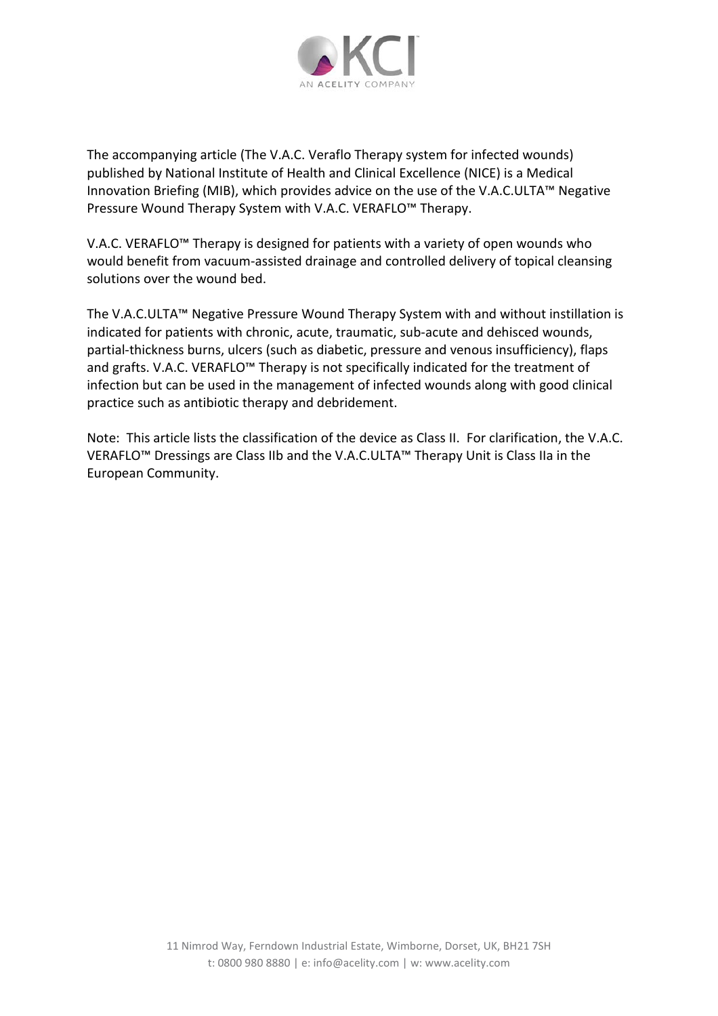

The accompanying article (The V.A.C. Veraflo Therapy system for infected wounds) published by National Institute of Health and Clinical Excellence (NICE) is a Medical Innovation Briefing (MIB), which provides advice on the use of the V.A.C.ULTA™ Negative Pressure Wound Therapy System with V.A.C. VERAFLO™ Therapy.

V.A.C. VERAFLO™ Therapy is designed for patients with a variety of open wounds who would benefit from vacuum-assisted drainage and controlled delivery of topical cleansing solutions over the wound bed.

The V.A.C.ULTA™ Negative Pressure Wound Therapy System with and without instillation is indicated for patients with chronic, acute, traumatic, sub-acute and dehisced wounds, partial-thickness burns, ulcers (such as diabetic, pressure and venous insufficiency), flaps and grafts. V.A.C. VERAFLO™ Therapy is not specifically indicated for the treatment of infection but can be used in the management of infected wounds along with good clinical practice such as antibiotic therapy and debridement.

Note: This article lists the classification of the device as Class II. For clarification, the V.A.C. VERAFLO™ Dressings are Class IIb and the V.A.C.ULTA™ Therapy Unit is Class IIa in the European Community.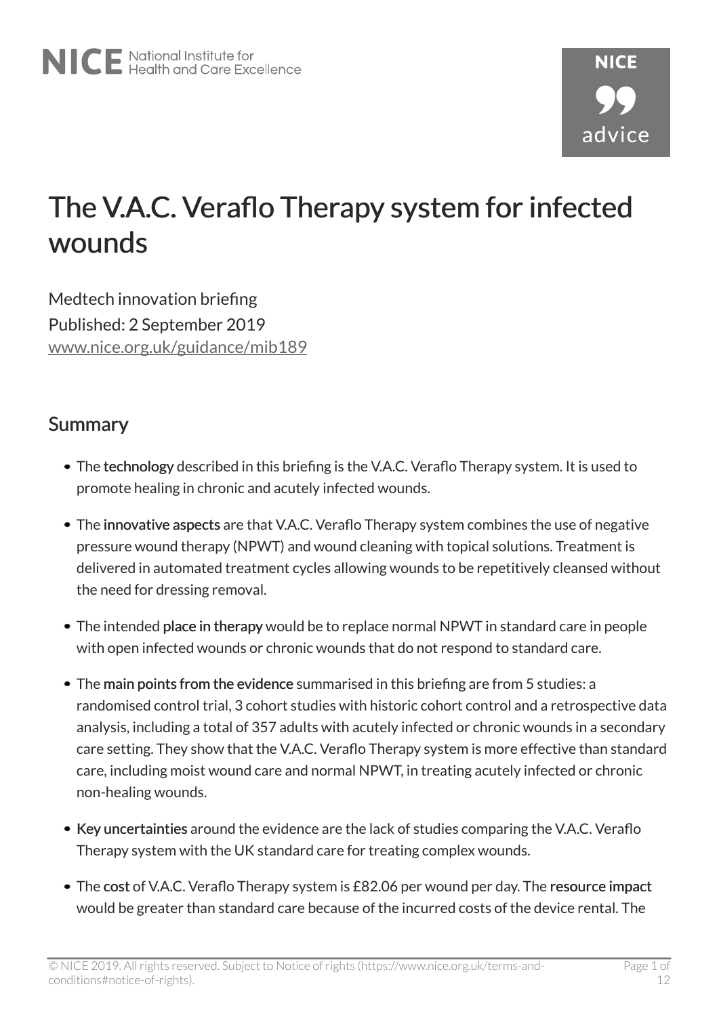# The V.A.C. Veraflo Therapy system for infected wounds

Medtech innovation briefing Published: 2 September 2019 [www.nice.org.uk/guidance/mib189](https://www.nice.org.uk/guidance/mib189)

#### Summary

- The technology described in this briefing is the V.A.C. Veraflo Therapy system. It is used to promote healing in chronic and acutely infected wounds.
- The innovative aspects are that V.A.C. Veraflo Therapy system combines the use of negative pressure wound therapy (NPWT) and wound cleaning with topical solutions. Treatment is delivered in automated treatment cycles allowing wounds to be repetitively cleansed without the need for dressing removal.
- The intended place in therapy would be to replace normal NPWT in standard care in people with open infected wounds or chronic wounds that do not respond to standard care.
- The main points from the evidence summarised in this briefing are from 5 studies: a randomised control trial, 3 cohort studies with historic cohort control and a retrospective data analysis, including a total of 357 adults with acutely infected or chronic wounds in a secondary care setting. They show that the V.A.C. Veraflo Therapy system is more effective than standard care, including moist wound care and normal NPWT, in treating acutely infected or chronic non-healing wounds.
- Key uncertainties around the evidence are the lack of studies comparing the V.A.C. Veraflo Therapy system with the UK standard care for treating complex wounds.
- The cost of V.A.C. Veraflo Therapy system is £82.06 per wound per day. The resource impact would be greater than standard care because of the incurred costs of the device rental. The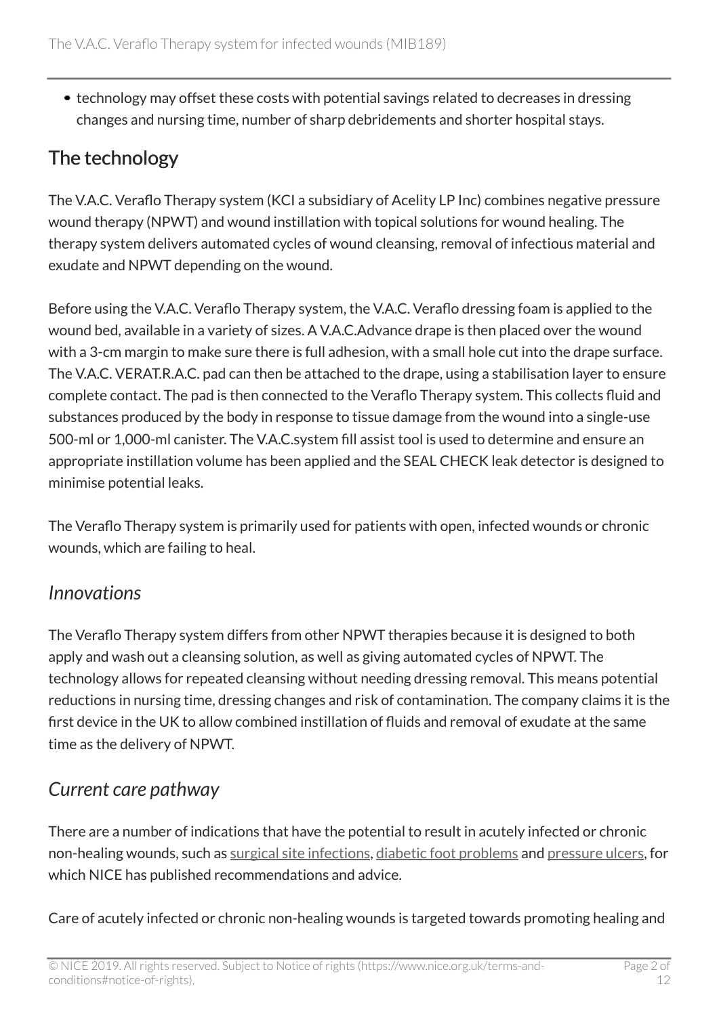• technology may offset these costs with potential savings related to decreases in dressing changes and nursing time, number of sharp debridements and shorter hospital stays.

# The technology

The V.A.C. Veraflo Therapy system (KCI a subsidiary of Acelity LP Inc) combines negative pressure wound therapy (NPWT) and wound instillation with topical solutions for wound healing. The therapy system delivers automated cycles of wound cleansing, removal of infectious material and exudate and NPWT depending on the wound.

Before using the V.A.C. Veraflo Therapy system, the V.A.C. Veraflo dressing foam is applied to the wound bed, available in a variety of sizes. A V.A.C.Advance drape is then placed over the wound with a 3-cm margin to make sure there is full adhesion, with a small hole cut into the drape surface. The V.A.C. VERAT.R.A.C. pad can then be attached to the drape, using a stabilisation layer to ensure complete contact. The pad is then connected to the Veraflo Therapy system. This collects fluid and substances produced by the body in response to tissue damage from the wound into a single-use 500-ml or 1,000-ml canister. The V.A.C.system fill assist tool is used to determine and ensure an appropriate instillation volume has been applied and the SEAL CHECK leak detector is designed to minimise potential leaks.

The Veraflo Therapy system is primarily used for patients with open, infected wounds or chronic wounds, which are failing to heal.

#### *Innovations*

The Veraflo Therapy system differs from other NPWT therapies because it is designed to both apply and wash out a cleansing solution, as well as giving automated cycles of NPWT. The technology allows for repeated cleansing without needing dressing removal. This means potential reductions in nursing time, dressing changes and risk of contamination. The company claims it is the first device in the UK to allow combined instillation of fluids and removal of exudate at the same time as the delivery of NPWT.

# *Current care pathway*

There are a number of indications that have the potential to result in acutely infected or chronic non-healing wounds, such as [surgical site infections,](https://www.nice.org.uk/guidance/ng125) [diabetic foot problems](https://www.nice.org.uk/guidance/ng19) and [pressure ulcers](https://www.nice.org.uk/guidance/cg179), for which NICE has published recommendations and advice.

Care of acutely infected or chronic non-healing wounds is targeted towards promoting healing and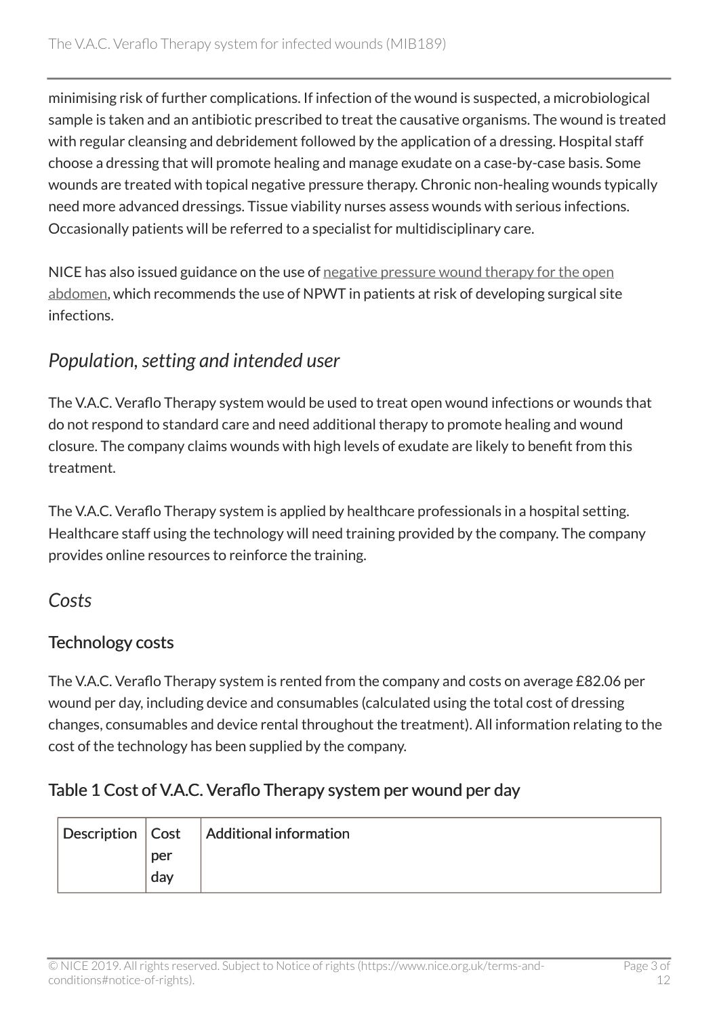minimising risk of further complications. If infection of the wound is suspected, a microbiological sample is taken and an antibiotic prescribed to treat the causative organisms. The wound is treated with regular cleansing and debridement followed by the application of a dressing. Hospital staff choose a dressing that will promote healing and manage exudate on a case-by-case basis. Some wounds are treated with topical negative pressure therapy. Chronic non-healing wounds typically need more advanced dressings. Tissue viability nurses assess wounds with serious infections. Occasionally patients will be referred to a specialist for multidisciplinary care.

NICE has also issued guidance on the use of [negative pressure wound therapy for the open](https://www.nice.org.uk/guidance/ipg467) [abdomen,](https://www.nice.org.uk/guidance/ipg467) which recommends the use of NPWT in patients at risk of developing surgical site infections.

# *Population, setting and intended user*

The V.A.C. Veraflo Therapy system would be used to treat open wound infections or wounds that do not respond to standard care and need additional therapy to promote healing and wound closure. The company claims wounds with high levels of exudate are likely to benefit from this treatment.

The V.A.C. Veraflo Therapy system is applied by healthcare professionals in a hospital setting. Healthcare staff using the technology will need training provided by the company. The company provides online resources to reinforce the training.

#### *Costs*

#### Technology costs

The V.A.C. Veraflo Therapy system is rented from the company and costs on average £82.06 per wound per day, including device and consumables (calculated using the total cost of dressing changes, consumables and device rental throughout the treatment). All information relating to the cost of the technology has been supplied by the company.

#### Table 1 Cost of V.A.C. Veraflo Therapy system per wound per day

|     | Description   Cost   Additional information |
|-----|---------------------------------------------|
| per |                                             |
| day |                                             |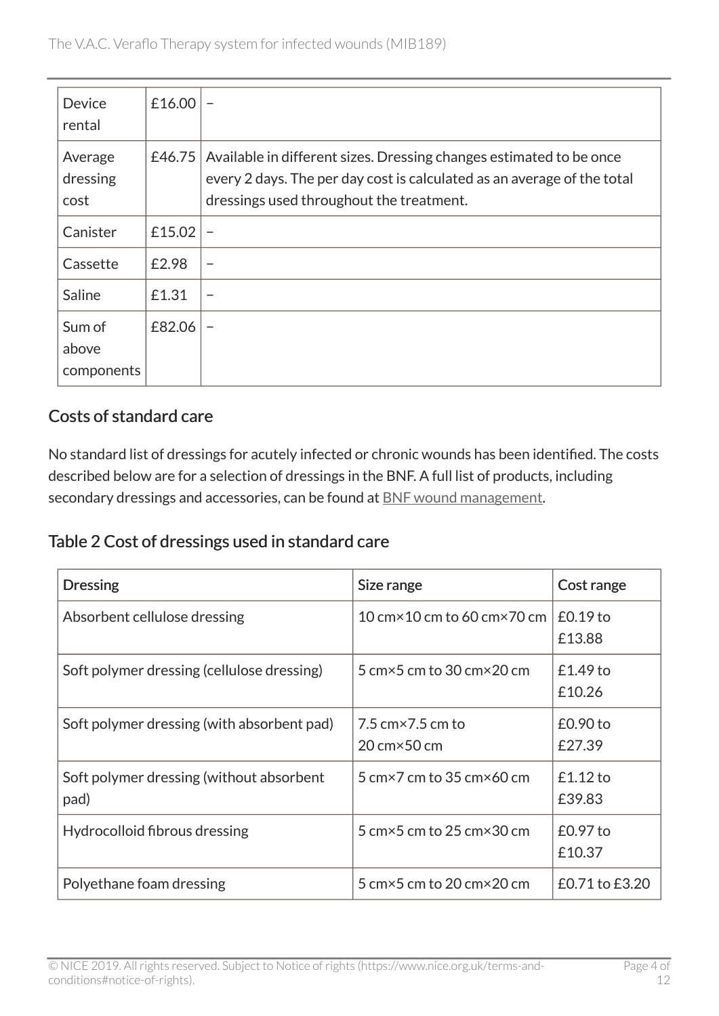| <b>Device</b><br>rental       | £16.00 |                                                                                                                                                                                            |
|-------------------------------|--------|--------------------------------------------------------------------------------------------------------------------------------------------------------------------------------------------|
| Average<br>dressing<br>cost   | £46.75 | Available in different sizes. Dressing changes estimated to be once<br>every 2 days. The per day cost is calculated as an average of the total<br>dressings used throughout the treatment. |
| Canister                      | £15.02 | $\overline{\phantom{0}}$                                                                                                                                                                   |
| Cassette                      | £2.98  | $\overline{\phantom{0}}$                                                                                                                                                                   |
| Saline                        | £1.31  |                                                                                                                                                                                            |
| Sum of<br>above<br>components | £82.06 |                                                                                                                                                                                            |

#### Costs of standard care

No standard list of dressings for acutely infected or chronic wounds has been identified. The costs described below are for a selection of dressings in the BNF. A full list of products, including secondary dressings and accessories, can be found at [BNF wound management](https://bnf.nice.org.uk/wound-management/).

Table 2 Cost of dressings used in standard care

| <b>Dressing</b>                                  | Size range                                                                        | Cost range           |
|--------------------------------------------------|-----------------------------------------------------------------------------------|----------------------|
| Absorbent cellulose dressing                     | 10 cm $\times$ 10 cm to 60 cm $\times$ 70 cm                                      | $£0.19$ to<br>£13.88 |
| Soft polymer dressing (cellulose dressing)       | 5 cm $\times$ 5 cm to 30 cm $\times$ 20 cm                                        | $£1.49$ to<br>£10.26 |
| Soft polymer dressing (with absorbent pad)       | $7.5 \text{ cm} \times 7.5 \text{ cm}$ to<br>$20 \text{ cm} \times 50 \text{ cm}$ | $£0.90$ to<br>£27.39 |
| Soft polymer dressing (without absorbent<br>pad) | 5 cm $\times$ 7 cm to 35 cm $\times$ 60 cm                                        | $£1.12$ to<br>£39.83 |
| Hydrocolloid fibrous dressing                    | 5 cm $\times$ 5 cm to 25 cm $\times$ 30 cm                                        | £0.97 to<br>£10.37   |
| Polyethane foam dressing                         | 5 cm $\times$ 5 cm to 20 cm $\times$ 20 cm                                        | £0.71 to £3.20       |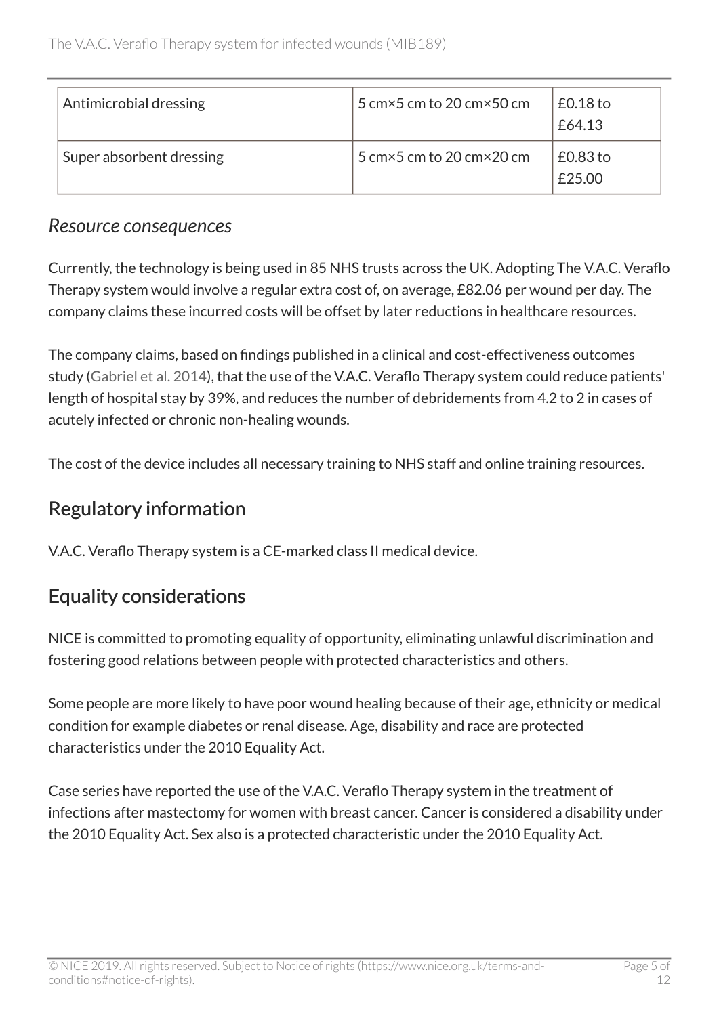| Antimicrobial dressing   | 5 cm $\times$ 5 cm to 20 cm $\times$ 50 cm | $£0.18$ to<br>£64.13 |
|--------------------------|--------------------------------------------|----------------------|
| Super absorbent dressing | 5 cm $\times$ 5 cm to 20 cm $\times$ 20 cm | $£0.83$ to<br>£25.00 |

#### *Resource consequences*

Currently, the technology is being used in 85 NHS trusts across the UK. Adopting The V.A.C. Veraflo Therapy system would involve a regular extra cost of, on average, £82.06 per wound per day. The company claims these incurred costs will be offset by later reductions in healthcare resources.

The company claims, based on findings published in a clinical and cost-effectiveness outcomes study [\(Gabriel et al. 2014](https://www.ncbi.nlm.nih.gov/pubmed/25525480)), that the use of the V.A.C. Veraflo Therapy system could reduce patients' length of hospital stay by 39%, and reduces the number of debridements from 4.2 to 2 in cases of acutely infected or chronic non-healing wounds.

The cost of the device includes all necessary training to NHS staff and online training resources.

# Regulatory information

V.A.C. Veraflo Therapy system is a CE-marked class II medical device.

# Equality considerations

NICE is committed to promoting equality of opportunity, eliminating unlawful discrimination and fostering good relations between people with protected characteristics and others.

Some people are more likely to have poor wound healing because of their age, ethnicity or medical condition for example diabetes or renal disease. Age, disability and race are protected characteristics under the 2010 Equality Act.

Case series have reported the use of the V.A.C. Veraflo Therapy system in the treatment of infections after mastectomy for women with breast cancer. Cancer is considered a disability under the 2010 Equality Act. Sex also is a protected characteristic under the 2010 Equality Act.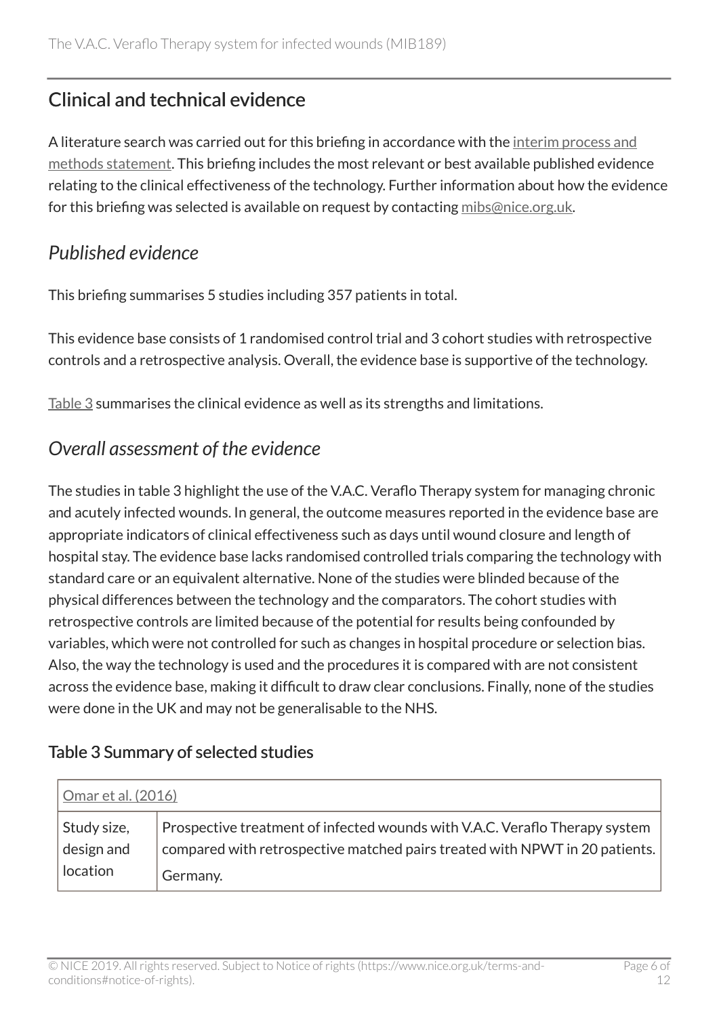# Clinical and technical evidence

A literature search was carried out for this briefing in accordance with the [interim process and](https://www.nice.org.uk/Media/Default/About/what-we-do/NICE-advice/Medtech-innovation-briefings/MIB-interim-process-methods-statement.pdf) [methods statement](https://www.nice.org.uk/Media/Default/About/what-we-do/NICE-advice/Medtech-innovation-briefings/MIB-interim-process-methods-statement.pdf). This briefing includes the most relevant or best available published evidence relating to the clinical effectiveness of the technology. Further information about how the evidence for this briefing was selected is available on request by contacting [mibs@nice.org.uk](mailto:mibs@nice.org.uk).

#### *Published evidence*

This briefing summarises 5 studies including 357 patients in total.

This evidence base consists of 1 randomised control trial and 3 cohort studies with retrospective controls and a retrospective analysis. Overall, the evidence base is supportive of the technology.

[Table](#page-6-0) 3 summarises the clinical evidence as well as its strengths and limitations.

#### *Overall assessment of the evidence*

The studies in table 3 highlight the use of the V.A.C. Veraflo Therapy system for managing chronic and acutely infected wounds. In general, the outcome measures reported in the evidence base are appropriate indicators of clinical effectiveness such as days until wound closure and length of hospital stay. The evidence base lacks randomised controlled trials comparing the technology with standard care or an equivalent alternative. None of the studies were blinded because of the physical differences between the technology and the comparators. The cohort studies with retrospective controls are limited because of the potential for results being confounded by variables, which were not controlled for such as changes in hospital procedure or selection bias. Also, the way the technology is used and the procedures it is compared with are not consistent across the evidence base, making it difficult to draw clear conclusions. Finally, none of the studies were done in the UK and may not be generalisable to the NHS.

#### <span id="page-6-0"></span>Table 3 Summary of selected studies

| <u>Omar et al. (2016)</u> |                                                                             |
|---------------------------|-----------------------------------------------------------------------------|
| Study size,               | Prospective treatment of infected wounds with V.A.C. Veraflo Therapy system |
| design and                | compared with retrospective matched pairs treated with NPWT in 20 patients. |
| location                  | Germany.                                                                    |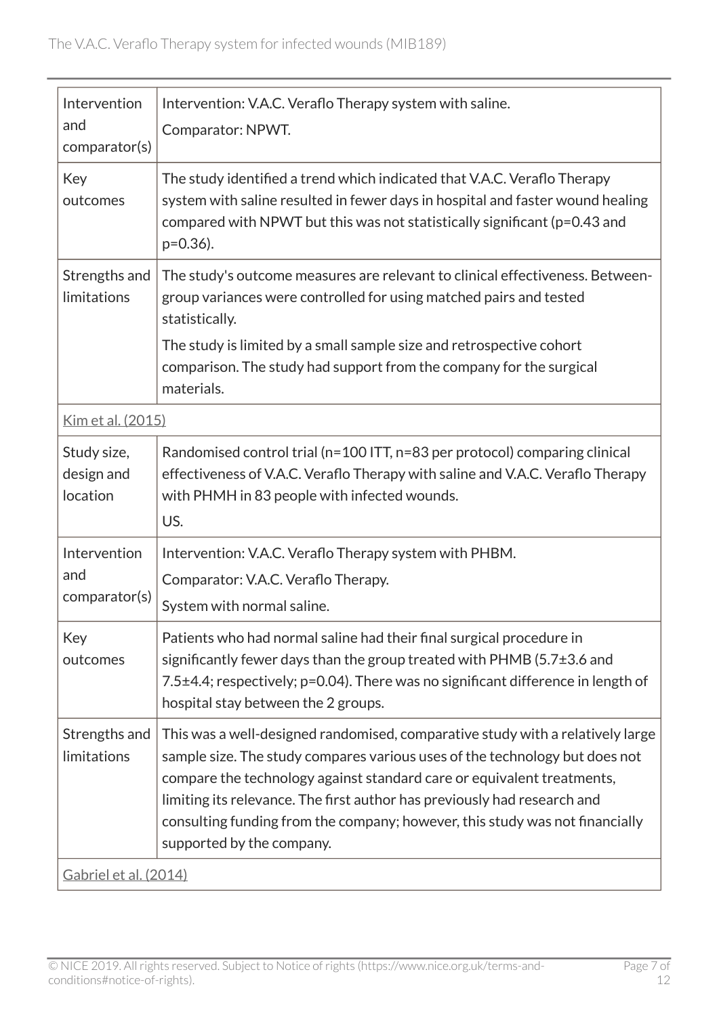| Intervention<br>and<br>comparator(s)  | Intervention: V.A.C. Veraflo Therapy system with saline.<br>Comparator: NPWT.                                                                                                                                                                                                                                                                                                                                                    |
|---------------------------------------|----------------------------------------------------------------------------------------------------------------------------------------------------------------------------------------------------------------------------------------------------------------------------------------------------------------------------------------------------------------------------------------------------------------------------------|
| Key<br>outcomes                       | The study identified a trend which indicated that V.A.C. Veraflo Therapy<br>system with saline resulted in fewer days in hospital and faster wound healing<br>compared with NPWT but this was not statistically significant (p=0.43 and<br>$p=0.36$ ).                                                                                                                                                                           |
| Strengths and<br>limitations          | The study's outcome measures are relevant to clinical effectiveness. Between-<br>group variances were controlled for using matched pairs and tested<br>statistically.<br>The study is limited by a small sample size and retrospective cohort<br>comparison. The study had support from the company for the surgical<br>materials.                                                                                               |
| <u>Kim et al. (2015)</u>              |                                                                                                                                                                                                                                                                                                                                                                                                                                  |
| Study size,<br>design and<br>location | Randomised control trial (n=100 ITT, n=83 per protocol) comparing clinical<br>effectiveness of V.A.C. Veraflo Therapy with saline and V.A.C. Veraflo Therapy<br>with PHMH in 83 people with infected wounds.<br>US.                                                                                                                                                                                                              |
| Intervention<br>and<br>comparator(s)  | Intervention: V.A.C. Veraflo Therapy system with PHBM.<br>Comparator: V.A.C. Veraflo Therapy.<br>System with normal saline.                                                                                                                                                                                                                                                                                                      |
| Key<br>outcomes                       | Patients who had normal saline had their final surgical procedure in<br>significantly fewer days than the group treated with PHMB ( $5.7\pm3.6$ and<br>7.5±4.4; respectively; p=0.04). There was no significant difference in length of<br>hospital stay between the 2 groups.                                                                                                                                                   |
| Strengths and<br>limitations          | This was a well-designed randomised, comparative study with a relatively large<br>sample size. The study compares various uses of the technology but does not<br>compare the technology against standard care or equivalent treatments,<br>limiting its relevance. The first author has previously had research and<br>consulting funding from the company; however, this study was not financially<br>supported by the company. |
| Gabriel et al. (2014)                 |                                                                                                                                                                                                                                                                                                                                                                                                                                  |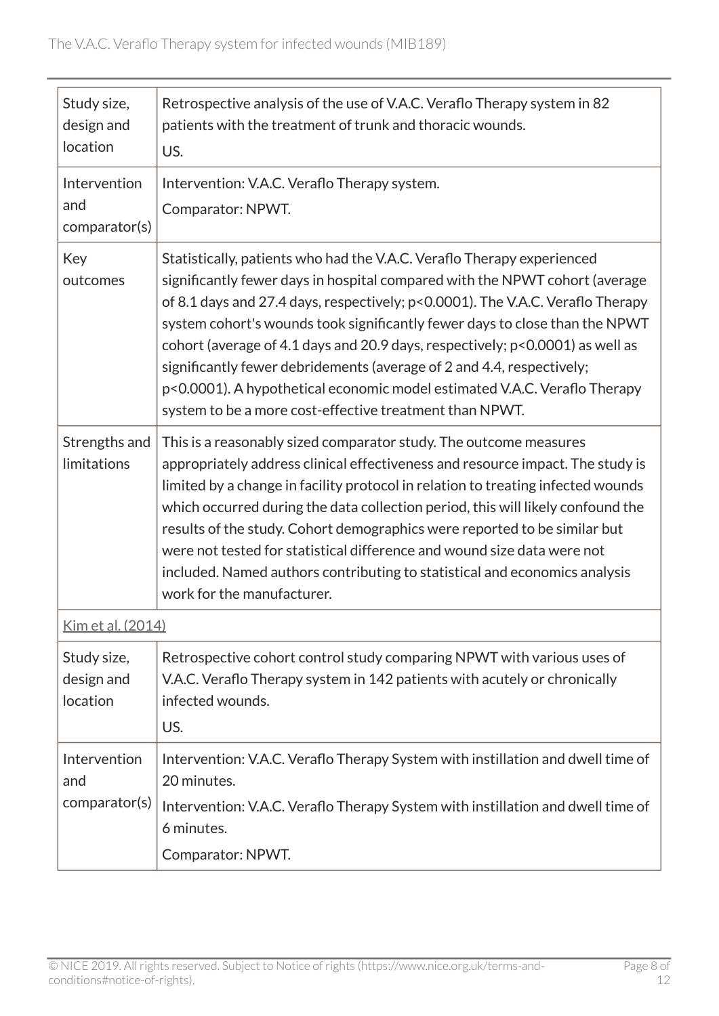| Study size,<br>design and<br>location | Retrospective analysis of the use of V.A.C. Veraflo Therapy system in 82<br>patients with the treatment of trunk and thoracic wounds.<br>US.                                                                                                                                                                                                                                                                                                                                                                                                                                                                             |
|---------------------------------------|--------------------------------------------------------------------------------------------------------------------------------------------------------------------------------------------------------------------------------------------------------------------------------------------------------------------------------------------------------------------------------------------------------------------------------------------------------------------------------------------------------------------------------------------------------------------------------------------------------------------------|
| Intervention<br>and<br>comparator(s)  | Intervention: V.A.C. Veraflo Therapy system.<br>Comparator: NPWT.                                                                                                                                                                                                                                                                                                                                                                                                                                                                                                                                                        |
| Key<br>outcomes                       | Statistically, patients who had the V.A.C. Veraflo Therapy experienced<br>significantly fewer days in hospital compared with the NPWT cohort (average<br>of 8.1 days and 27.4 days, respectively; p<0.0001). The V.A.C. Veraflo Therapy<br>system cohort's wounds took significantly fewer days to close than the NPWT<br>cohort (average of 4.1 days and 20.9 days, respectively; p<0.0001) as well as<br>significantly fewer debridements (average of 2 and 4.4, respectively;<br>p<0.0001). A hypothetical economic model estimated V.A.C. Veraflo Therapy<br>system to be a more cost-effective treatment than NPWT. |
| Strengths and<br>limitations          | This is a reasonably sized comparator study. The outcome measures<br>appropriately address clinical effectiveness and resource impact. The study is<br>limited by a change in facility protocol in relation to treating infected wounds<br>which occurred during the data collection period, this will likely confound the<br>results of the study. Cohort demographics were reported to be similar but<br>were not tested for statistical difference and wound size data were not<br>included. Named authors contributing to statistical and economics analysis<br>work for the manufacturer.                           |
| <u>Kim et al. (2014)</u>              |                                                                                                                                                                                                                                                                                                                                                                                                                                                                                                                                                                                                                          |
| Study size,<br>design and<br>location | Retrospective cohort control study comparing NPWT with various uses of<br>V.A.C. Veraflo Therapy system in 142 patients with acutely or chronically<br>infected wounds.<br>US.                                                                                                                                                                                                                                                                                                                                                                                                                                           |
| Intervention<br>and<br>comparator(s)  | Intervention: V.A.C. Veraflo Therapy System with instillation and dwell time of<br>20 minutes.<br>Intervention: V.A.C. Veraflo Therapy System with instillation and dwell time of<br>6 minutes.<br>Comparator: NPWT.                                                                                                                                                                                                                                                                                                                                                                                                     |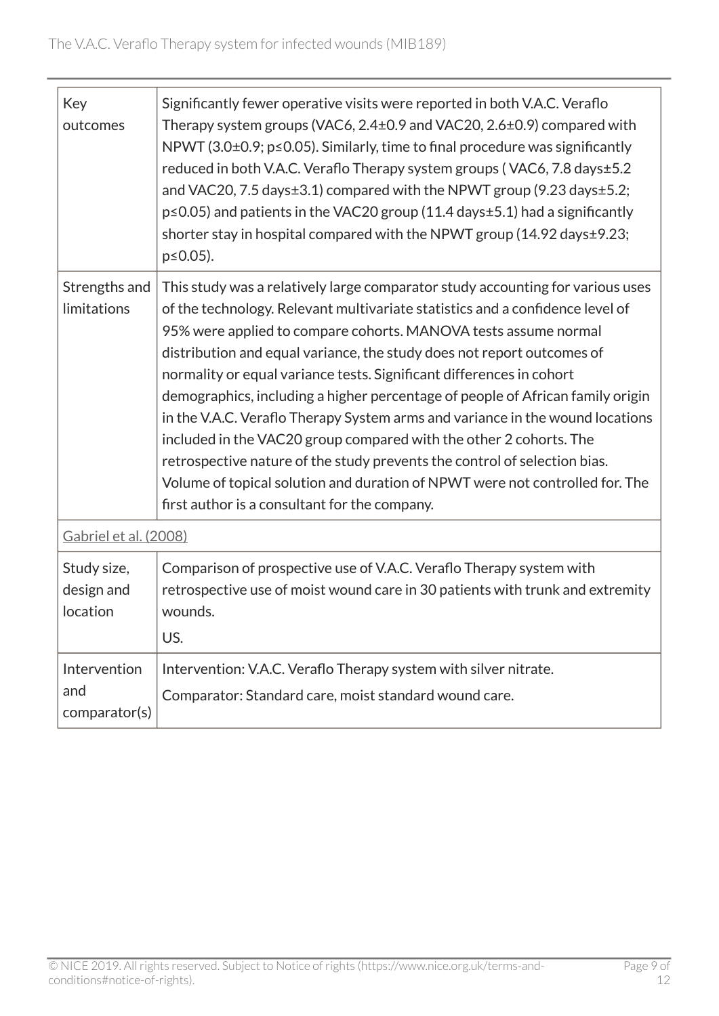| Key<br>outcomes                       | Significantly fewer operative visits were reported in both V.A.C. Veraflo<br>Therapy system groups (VAC6, 2.4±0.9 and VAC20, 2.6±0.9) compared with<br>NPWT (3.0 $\pm$ 0.9; p $\leq$ 0.05). Similarly, time to final procedure was significantly<br>reduced in both V.A.C. Veraflo Therapy system groups (VAC6, 7.8 days±5.2<br>and VAC20, 7.5 days±3.1) compared with the NPWT group (9.23 days±5.2;<br>$p \le 0.05$ ) and patients in the VAC20 group (11.4 days $\pm$ 5.1) had a significantly<br>shorter stay in hospital compared with the NPWT group $(14.92 \text{ days} \pm 9.23;$<br>$p \le 0.05$ ).                                                                                                                                                                                                                               |  |
|---------------------------------------|---------------------------------------------------------------------------------------------------------------------------------------------------------------------------------------------------------------------------------------------------------------------------------------------------------------------------------------------------------------------------------------------------------------------------------------------------------------------------------------------------------------------------------------------------------------------------------------------------------------------------------------------------------------------------------------------------------------------------------------------------------------------------------------------------------------------------------------------|--|
| Strengths and<br>limitations          | This study was a relatively large comparator study accounting for various uses<br>of the technology. Relevant multivariate statistics and a confidence level of<br>95% were applied to compare cohorts. MANOVA tests assume normal<br>distribution and equal variance, the study does not report outcomes of<br>normality or equal variance tests. Significant differences in cohort<br>demographics, including a higher percentage of people of African family origin<br>in the V.A.C. Veraflo Therapy System arms and variance in the wound locations<br>included in the VAC20 group compared with the other 2 cohorts. The<br>retrospective nature of the study prevents the control of selection bias.<br>Volume of topical solution and duration of NPWT were not controlled for. The<br>first author is a consultant for the company. |  |
|                                       | Gabriel et al. (2008)                                                                                                                                                                                                                                                                                                                                                                                                                                                                                                                                                                                                                                                                                                                                                                                                                       |  |
| Study size,<br>design and<br>location | Comparison of prospective use of V.A.C. Veraflo Therapy system with<br>retrospective use of moist wound care in 30 patients with trunk and extremity<br>wounds.<br>US.                                                                                                                                                                                                                                                                                                                                                                                                                                                                                                                                                                                                                                                                      |  |
| Intervention<br>and<br>comparator(s)  | Intervention: V.A.C. Veraflo Therapy system with silver nitrate.<br>Comparator: Standard care, moist standard wound care.                                                                                                                                                                                                                                                                                                                                                                                                                                                                                                                                                                                                                                                                                                                   |  |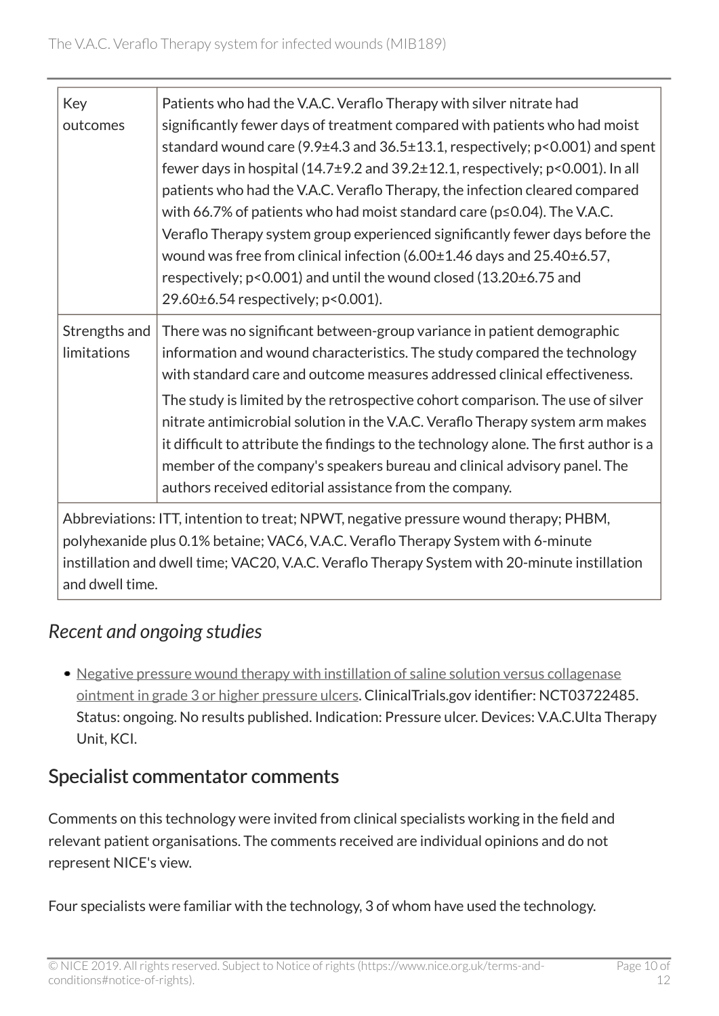| Key                                                                                           | Patients who had the V.A.C. Veraflo Therapy with silver nitrate had                      |  |
|-----------------------------------------------------------------------------------------------|------------------------------------------------------------------------------------------|--|
| outcomes                                                                                      | significantly fewer days of treatment compared with patients who had moist               |  |
|                                                                                               | standard wound care (9.9 $\pm$ 4.3 and 36.5 $\pm$ 13.1, respectively; p<0.001) and spent |  |
|                                                                                               | fewer days in hospital ( $14.7\pm9.2$ and $39.2\pm12.1$ , respectively; p<0.001). In all |  |
|                                                                                               | patients who had the V.A.C. Veraflo Therapy, the infection cleared compared              |  |
|                                                                                               | with 66.7% of patients who had moist standard care ( $p \le 0.04$ ). The V.A.C.          |  |
|                                                                                               | Veraflo Therapy system group experienced significantly fewer days before the             |  |
|                                                                                               | wound was free from clinical infection (6.00±1.46 days and 25.40±6.57,                   |  |
|                                                                                               | respectively; p<0.001) and until the wound closed (13.20±6.75 and                        |  |
|                                                                                               | 29.60±6.54 respectively; p<0.001).                                                       |  |
| Strengths and                                                                                 | There was no significant between-group variance in patient demographic                   |  |
| limitations                                                                                   | information and wound characteristics. The study compared the technology                 |  |
|                                                                                               | with standard care and outcome measures addressed clinical effectiveness.                |  |
|                                                                                               | The study is limited by the retrospective cohort comparison. The use of silver           |  |
|                                                                                               | nitrate antimicrobial solution in the V.A.C. Veraflo Therapy system arm makes            |  |
|                                                                                               | it difficult to attribute the findings to the technology alone. The first author is a    |  |
|                                                                                               | member of the company's speakers bureau and clinical advisory panel. The                 |  |
|                                                                                               | authors received editorial assistance from the company.                                  |  |
| Abbreviations: ITT, intention to treat; NPWT, negative pressure wound therapy; PHBM,          |                                                                                          |  |
| polyhexanide plus 0.1% betaine; VAC6, V.A.C. Veraflo Therapy System with 6-minute             |                                                                                          |  |
| instillation and dwell time; VAC20, V.A.C. Veraflo Therapy System with 20-minute instillation |                                                                                          |  |
| and dwell time.                                                                               |                                                                                          |  |

# *Recent and ongoing studies*

• [Negative pressure wound therapy with instillation of saline solution versus collagenase](https://clinicaltrials.gov/ct2/show/NCT03722485) [ointment in grade 3 or higher pressure ulcers](https://clinicaltrials.gov/ct2/show/NCT03722485). ClinicalTrials.gov identifier: NCT03722485. Status: ongoing. No results published. Indication: Pressure ulcer. Devices: V.A.C.Ulta Therapy Unit, KCI.

# Specialist commentator comments

Comments on this technology were invited from clinical specialists working in the field and relevant patient organisations. The comments received are individual opinions and do not represent NICE's view.

Four specialists were familiar with the technology, 3 of whom have used the technology.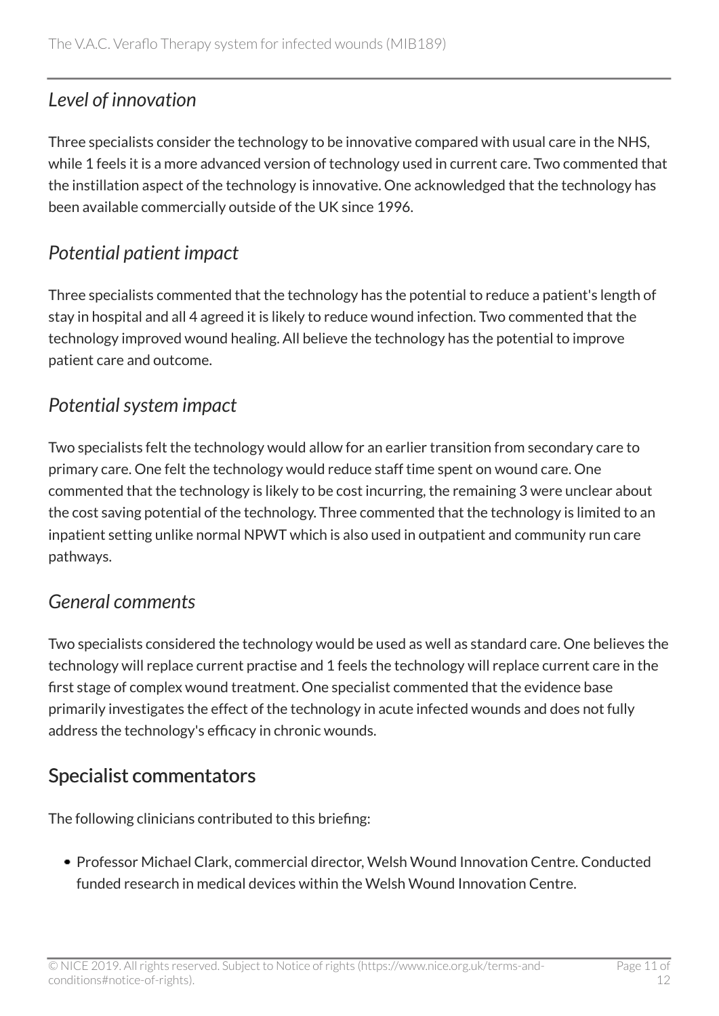# *Level of innovation*

Three specialists consider the technology to be innovative compared with usual care in the NHS, while 1 feels it is a more advanced version of technology used in current care. Two commented that the instillation aspect of the technology is innovative. One acknowledged that the technology has been available commercially outside of the UK since 1996.

## *Potential patient impact*

Three specialists commented that the technology has the potential to reduce a patient's length of stay in hospital and all 4 agreed it is likely to reduce wound infection. Two commented that the technology improved wound healing. All believe the technology has the potential to improve patient care and outcome.

# *Potential system impact*

Two specialists felt the technology would allow for an earlier transition from secondary care to primary care. One felt the technology would reduce staff time spent on wound care. One commented that the technology is likely to be cost incurring, the remaining 3 were unclear about the cost saving potential of the technology. Three commented that the technology is limited to an inpatient setting unlike normal NPWT which is also used in outpatient and community run care pathways.

# *General comments*

Two specialists considered the technology would be used as well as standard care. One believes the technology will replace current practise and 1 feels the technology will replace current care in the first stage of complex wound treatment. One specialist commented that the evidence base primarily investigates the effect of the technology in acute infected wounds and does not fully address the technology's efficacy in chronic wounds.

# Specialist commentators

The following clinicians contributed to this briefing:

Professor Michael Clark, commercial director, Welsh Wound Innovation Centre. Conducted funded research in medical devices within the Welsh Wound Innovation Centre.